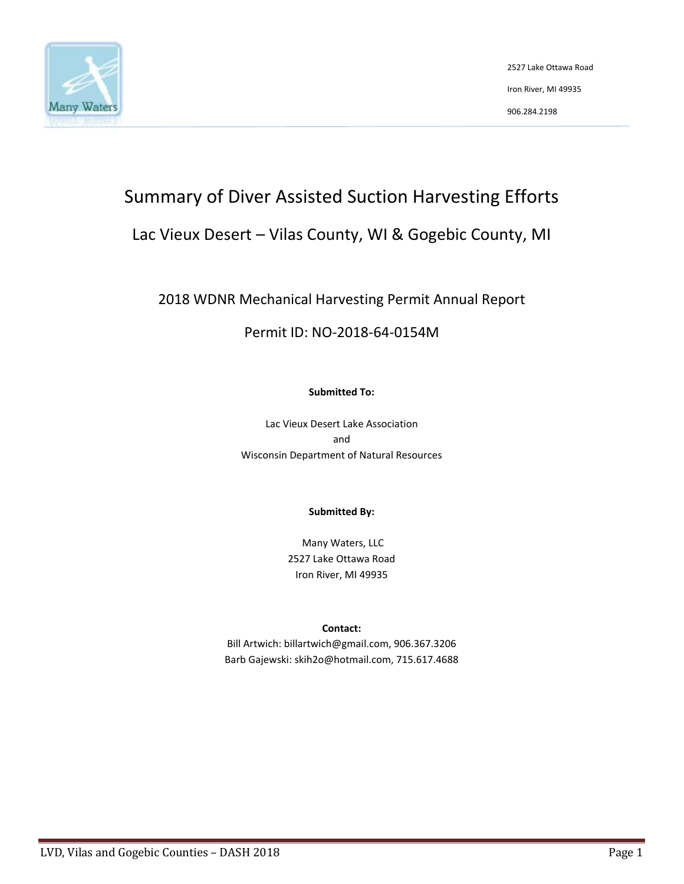

2527 Lake Ottawa Road Iron River, MI 49935 906.284.2198

# Summary of Diver Assisted Suction Harvesting Efforts

# Lac Vieux Desert – Vilas County, WI & Gogebic County, MI

# 2018 WDNR Mechanical Harvesting Permit Annual Report

## Permit ID: NO-2018-64-0154M

#### **Submitted To:**

Lac Vieux Desert Lake Association and Wisconsin Department of Natural Resources

#### **Submitted By:**

Many Waters, LLC 2527 Lake Ottawa Road Iron River, MI 49935

#### **Contact:**

Bill Artwich: billartwich@gmail.com, 906.367.3206 Barb Gajewski: skih2o@hotmail.com, 715.617.4688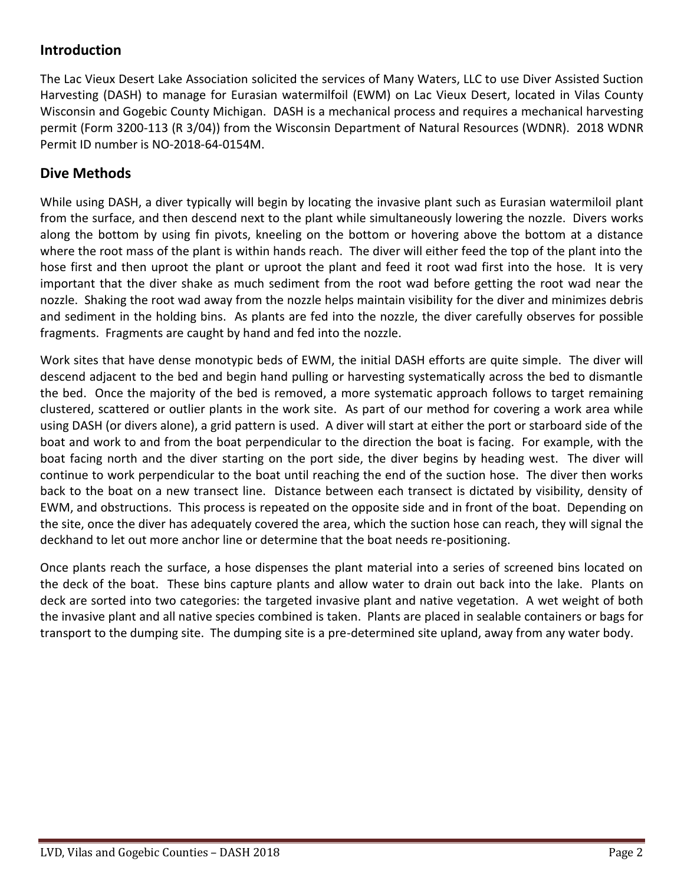## **Introduction**

The Lac Vieux Desert Lake Association solicited the services of Many Waters, LLC to use Diver Assisted Suction Harvesting (DASH) to manage for Eurasian watermilfoil (EWM) on Lac Vieux Desert, located in Vilas County Wisconsin and Gogebic County Michigan. DASH is a mechanical process and requires a mechanical harvesting permit (Form 3200-113 (R 3/04)) from the Wisconsin Department of Natural Resources (WDNR). 2018 WDNR Permit ID number is NO-2018-64-0154M.

### **Dive Methods**

While using DASH, a diver typically will begin by locating the invasive plant such as Eurasian watermiloil plant from the surface, and then descend next to the plant while simultaneously lowering the nozzle. Divers works along the bottom by using fin pivots, kneeling on the bottom or hovering above the bottom at a distance where the root mass of the plant is within hands reach. The diver will either feed the top of the plant into the hose first and then uproot the plant or uproot the plant and feed it root wad first into the hose. It is very important that the diver shake as much sediment from the root wad before getting the root wad near the nozzle. Shaking the root wad away from the nozzle helps maintain visibility for the diver and minimizes debris and sediment in the holding bins. As plants are fed into the nozzle, the diver carefully observes for possible fragments. Fragments are caught by hand and fed into the nozzle.

Work sites that have dense monotypic beds of EWM, the initial DASH efforts are quite simple. The diver will descend adjacent to the bed and begin hand pulling or harvesting systematically across the bed to dismantle the bed. Once the majority of the bed is removed, a more systematic approach follows to target remaining clustered, scattered or outlier plants in the work site. As part of our method for covering a work area while using DASH (or divers alone), a grid pattern is used. A diver will start at either the port or starboard side of the boat and work to and from the boat perpendicular to the direction the boat is facing. For example, with the boat facing north and the diver starting on the port side, the diver begins by heading west. The diver will continue to work perpendicular to the boat until reaching the end of the suction hose. The diver then works back to the boat on a new transect line. Distance between each transect is dictated by visibility, density of EWM, and obstructions. This process is repeated on the opposite side and in front of the boat. Depending on the site, once the diver has adequately covered the area, which the suction hose can reach, they will signal the deckhand to let out more anchor line or determine that the boat needs re-positioning.

Once plants reach the surface, a hose dispenses the plant material into a series of screened bins located on the deck of the boat. These bins capture plants and allow water to drain out back into the lake. Plants on deck are sorted into two categories: the targeted invasive plant and native vegetation. A wet weight of both the invasive plant and all native species combined is taken. Plants are placed in sealable containers or bags for transport to the dumping site. The dumping site is a pre-determined site upland, away from any water body.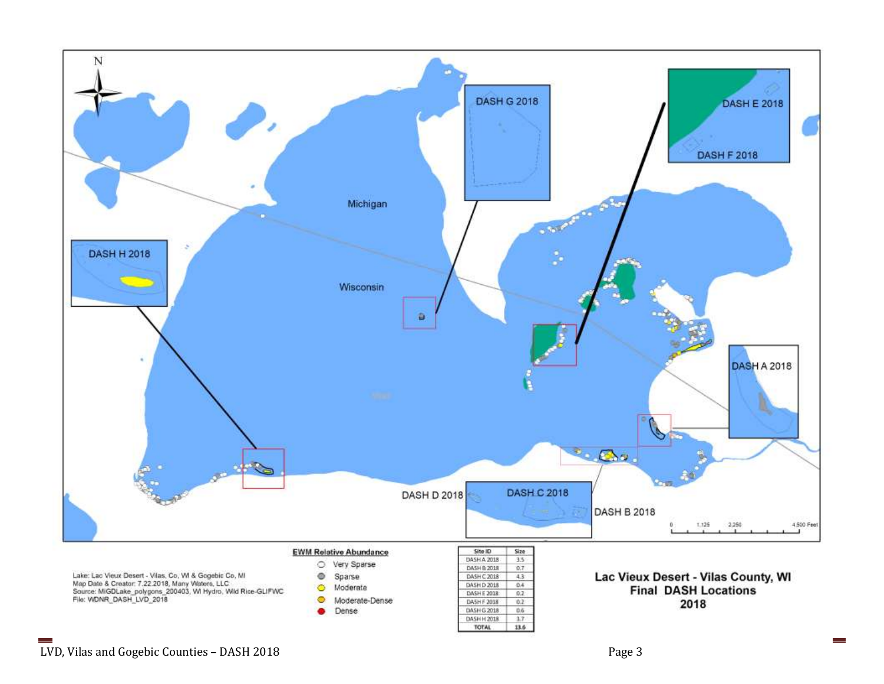

 $\sim$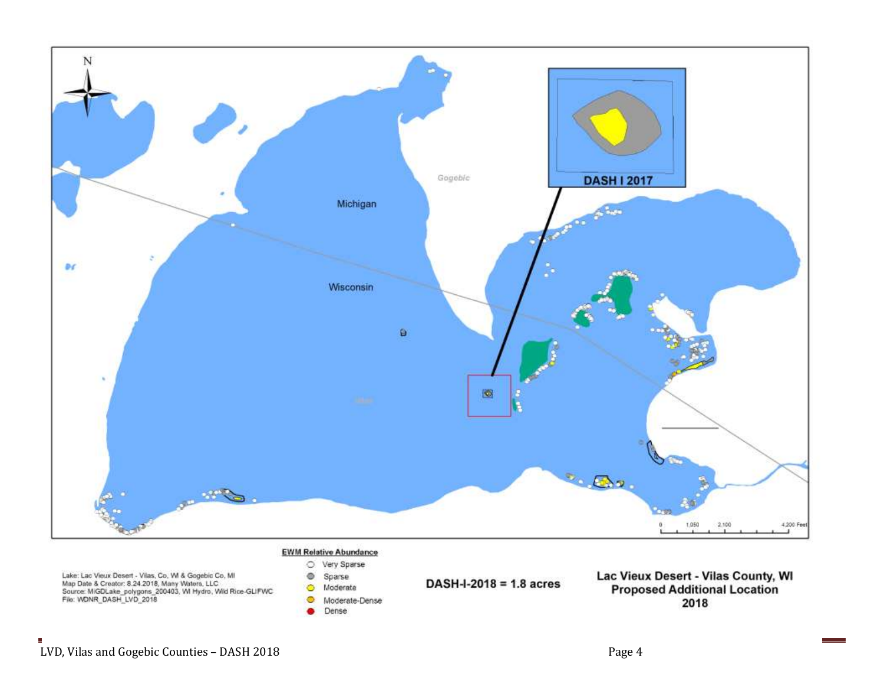

Е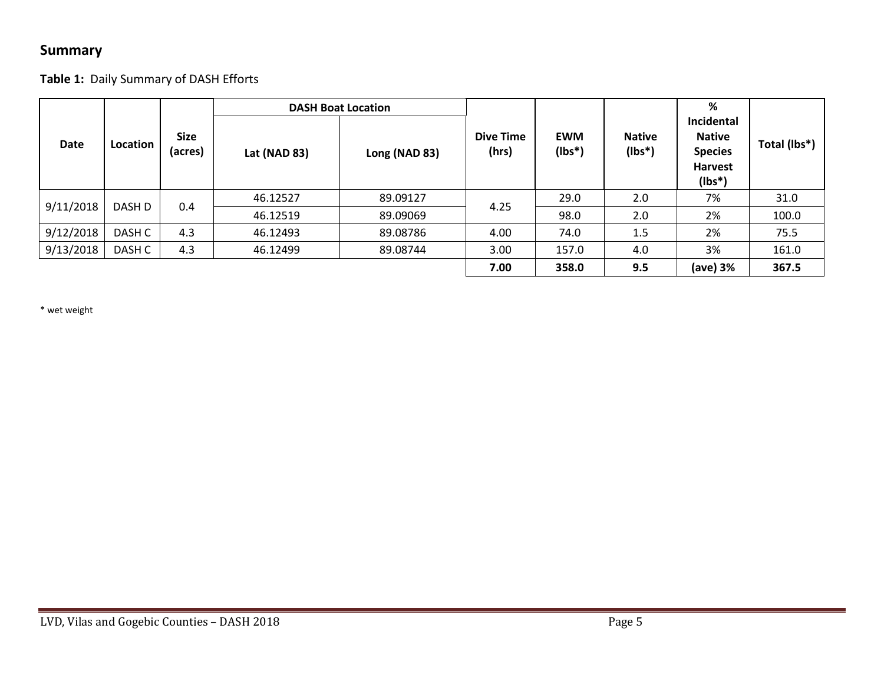## **Summary**

### **Table 1:** Daily Summary of DASH Efforts

| <b>Date</b> | Location | <b>Size</b><br>(acres) | Lat (NAD 83) | <b>DASH Boat Location</b><br>Long (NAD 83) | <b>Dive Time</b><br>(hrs) | <b>EWM</b><br>$(lbs*)$ | <b>Native</b><br>$(Ibs^*)$ | %<br>Incidental<br><b>Native</b><br><b>Species</b><br><b>Harvest</b> | Total (lbs*) |
|-------------|----------|------------------------|--------------|--------------------------------------------|---------------------------|------------------------|----------------------------|----------------------------------------------------------------------|--------------|
| 9/11/2018   | DASH D   | 0.4                    | 46.12527     | 89.09127                                   | 4.25                      | 29.0                   | 2.0                        | $(lbs*)$<br>7%                                                       | 31.0         |
|             |          |                        | 46.12519     | 89.09069                                   |                           | 98.0                   | 2.0                        | 2%                                                                   | 100.0        |
| 9/12/2018   | DASH C   | 4.3                    | 46.12493     | 89.08786                                   | 4.00                      | 74.0                   | 1.5                        | 2%                                                                   | 75.5         |
| 9/13/2018   | DASH C   | 4.3                    | 46.12499     | 89.08744                                   | 3.00                      | 157.0                  | 4.0                        | 3%                                                                   | 161.0        |
|             |          |                        |              |                                            | 7.00                      | 358.0                  | 9.5                        | (ave) 3%                                                             | 367.5        |

\* wet weight